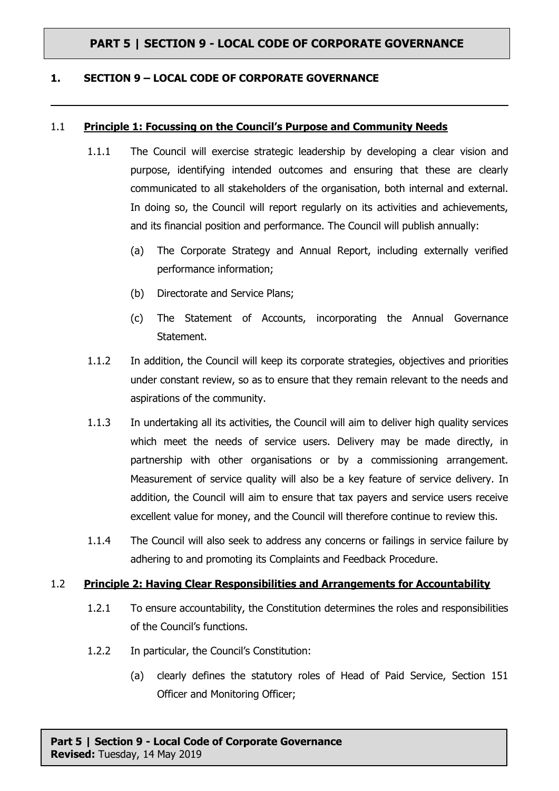#### **1. SECTION 9 – LOCAL CODE OF CORPORATE GOVERNANCE**

#### 1.1 **Principle 1: Focussing on the Council's Purpose and Community Needs**

- 1.1.1 The Council will exercise strategic leadership by developing a clear vision and purpose, identifying intended outcomes and ensuring that these are clearly communicated to all stakeholders of the organisation, both internal and external. In doing so, the Council will report regularly on its activities and achievements, and its financial position and performance. The Council will publish annually:
	- (a) The Corporate Strategy and Annual Report, including externally verified performance information;
	- (b) Directorate and Service Plans;
	- (c) The Statement of Accounts, incorporating the Annual Governance Statement.
- 1.1.2 In addition, the Council will keep its corporate strategies, objectives and priorities under constant review, so as to ensure that they remain relevant to the needs and aspirations of the community.
- 1.1.3 In undertaking all its activities, the Council will aim to deliver high quality services which meet the needs of service users. Delivery may be made directly, in partnership with other organisations or by a commissioning arrangement. Measurement of service quality will also be a key feature of service delivery. In addition, the Council will aim to ensure that tax payers and service users receive excellent value for money, and the Council will therefore continue to review this.
- 1.1.4 The Council will also seek to address any concerns or failings in service failure by adhering to and promoting its Complaints and Feedback Procedure.

#### 1.2 **Principle 2: Having Clear Responsibilities and Arrangements for Accountability**

- 1.2.1 To ensure accountability, the Constitution determines the roles and responsibilities of the Council's functions.
- 1.2.2 In particular, the Council's Constitution:
	- (a) clearly defines the statutory roles of Head of Paid Service, Section 151 Officer and Monitoring Officer;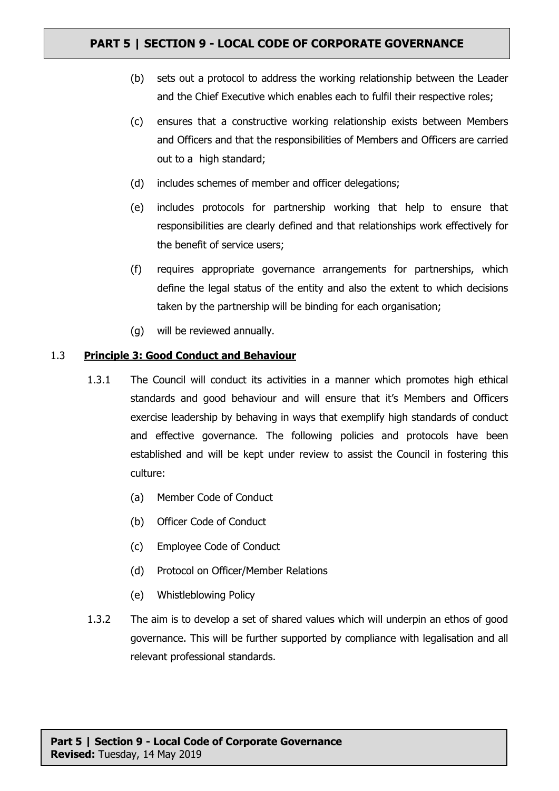- (b) sets out a protocol to address the working relationship between the Leader and the Chief Executive which enables each to fulfil their respective roles;
- (c) ensures that a constructive working relationship exists between Members and Officers and that the responsibilities of Members and Officers are carried out to a high standard;
- (d) includes schemes of member and officer delegations;
- (e) includes protocols for partnership working that help to ensure that responsibilities are clearly defined and that relationships work effectively for the benefit of service users;
- (f) requires appropriate governance arrangements for partnerships, which define the legal status of the entity and also the extent to which decisions taken by the partnership will be binding for each organisation;
- (g) will be reviewed annually.

#### 1.3 **Principle 3: Good Conduct and Behaviour**

- 1.3.1 The Council will conduct its activities in a manner which promotes high ethical standards and good behaviour and will ensure that it's Members and Officers exercise leadership by behaving in ways that exemplify high standards of conduct and effective governance. The following policies and protocols have been established and will be kept under review to assist the Council in fostering this culture:
	- (a) Member Code of Conduct
	- (b) Officer Code of Conduct
	- (c) Employee Code of Conduct
	- (d) Protocol on Officer/Member Relations
	- (e) Whistleblowing Policy
- 1.3.2 The aim is to develop a set of shared values which will underpin an ethos of good governance. This will be further supported by compliance with legalisation and all relevant professional standards.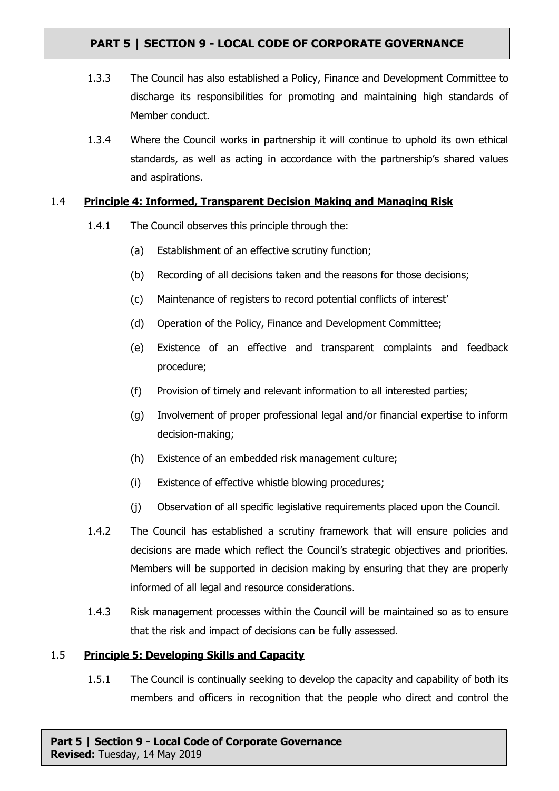- 1.3.3 The Council has also established a Policy, Finance and Development Committee to discharge its responsibilities for promoting and maintaining high standards of Member conduct.
- 1.3.4 Where the Council works in partnership it will continue to uphold its own ethical standards, as well as acting in accordance with the partnership's shared values and aspirations.

#### 1.4 **Principle 4: Informed, Transparent Decision Making and Managing Risk**

- 1.4.1 The Council observes this principle through the:
	- (a) Establishment of an effective scrutiny function;
	- (b) Recording of all decisions taken and the reasons for those decisions;
	- (c) Maintenance of registers to record potential conflicts of interest'
	- (d) Operation of the Policy, Finance and Development Committee;
	- (e) Existence of an effective and transparent complaints and feedback procedure;
	- (f) Provision of timely and relevant information to all interested parties;
	- (g) Involvement of proper professional legal and/or financial expertise to inform decision-making;
	- (h) Existence of an embedded risk management culture;
	- (i) Existence of effective whistle blowing procedures;
	- (j) Observation of all specific legislative requirements placed upon the Council.
- 1.4.2 The Council has established a scrutiny framework that will ensure policies and decisions are made which reflect the Council's strategic objectives and priorities. Members will be supported in decision making by ensuring that they are properly informed of all legal and resource considerations.
- 1.4.3 Risk management processes within the Council will be maintained so as to ensure that the risk and impact of decisions can be fully assessed.

#### 1.5 **Principle 5: Developing Skills and Capacity**

1.5.1 The Council is continually seeking to develop the capacity and capability of both its members and officers in recognition that the people who direct and control the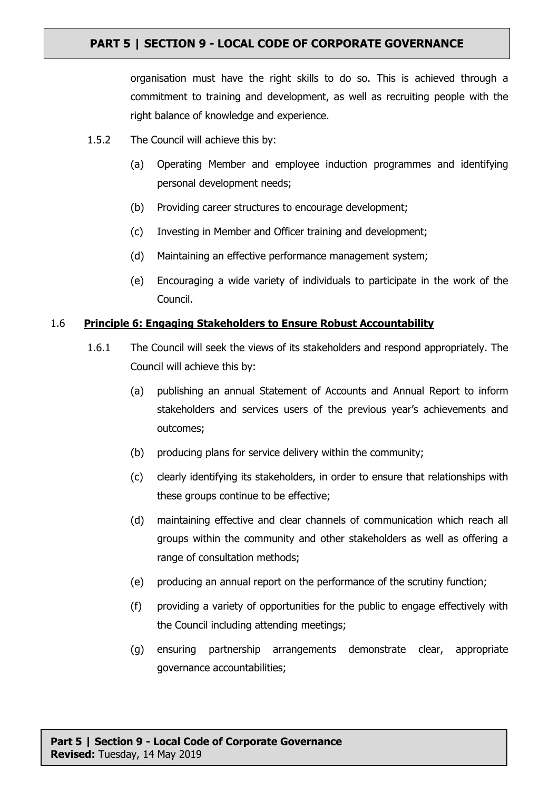organisation must have the right skills to do so. This is achieved through a commitment to training and development, as well as recruiting people with the right balance of knowledge and experience.

- 1.5.2 The Council will achieve this by:
	- (a) Operating Member and employee induction programmes and identifying personal development needs;
	- (b) Providing career structures to encourage development;
	- (c) Investing in Member and Officer training and development;
	- (d) Maintaining an effective performance management system;
	- (e) Encouraging a wide variety of individuals to participate in the work of the Council.

#### 1.6 **Principle 6: Engaging Stakeholders to Ensure Robust Accountability**

- 1.6.1 The Council will seek the views of its stakeholders and respond appropriately. The Council will achieve this by:
	- (a) publishing an annual Statement of Accounts and Annual Report to inform stakeholders and services users of the previous year's achievements and outcomes;
	- (b) producing plans for service delivery within the community;
	- (c) clearly identifying its stakeholders, in order to ensure that relationships with these groups continue to be effective;
	- (d) maintaining effective and clear channels of communication which reach all groups within the community and other stakeholders as well as offering a range of consultation methods;
	- (e) producing an annual report on the performance of the scrutiny function;
	- (f) providing a variety of opportunities for the public to engage effectively with the Council including attending meetings;
	- (g) ensuring partnership arrangements demonstrate clear, appropriate governance accountabilities;